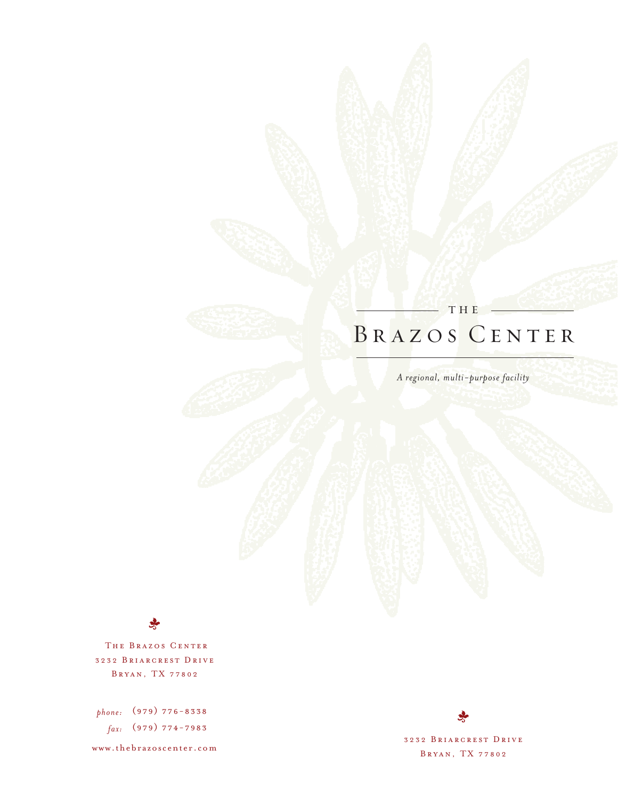## BRAZOS CENTER THE

*A regional, multi-purpose facility*

THE BRAZOS CENTER 3232 BRIARCREST DRIVE B R Y A N , T X 7 7 8 0 2

*phone:* (979) 776-8338 *fax:* (979) 774-7983

www.thebrazoscenter.com

3232 BRIARCREST DRIVE B R Y A N , T X 7 7 8 0 2